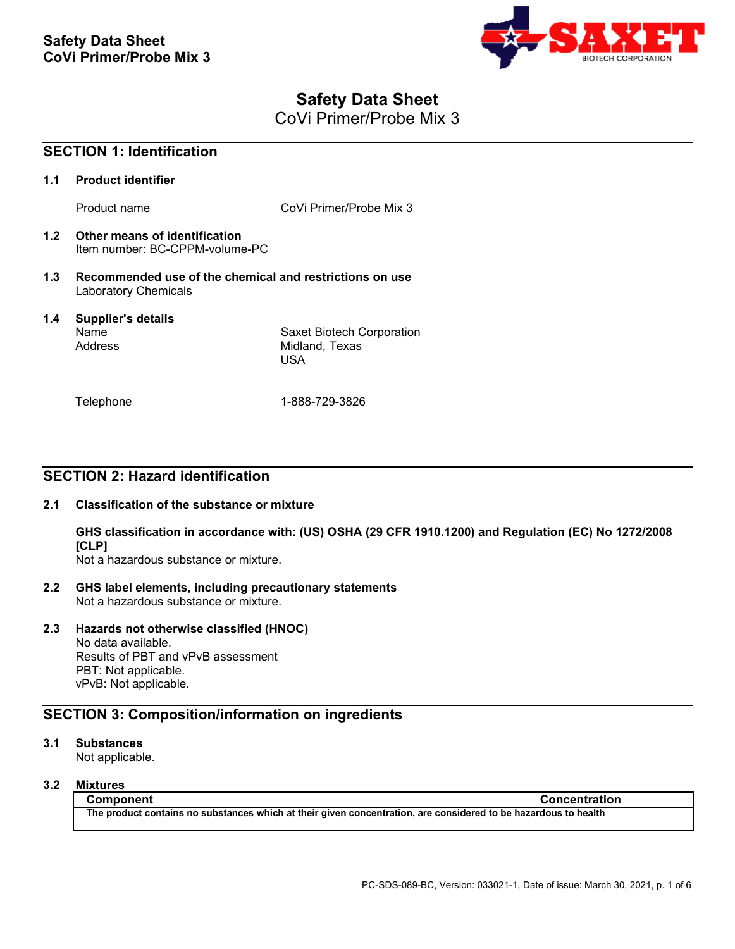

# **Safety Data Sheet**

CoVi Primer/Probe Mix 3

| <b>SECTION 1: Identification</b> |                                                                                        |                                                    |
|----------------------------------|----------------------------------------------------------------------------------------|----------------------------------------------------|
| 1.1                              | <b>Product identifier</b>                                                              |                                                    |
|                                  | Product name                                                                           | CoVi Primer/Probe Mix 3                            |
| 1.2                              | Other means of identification<br>Item number: BC-CPPM-volume-PC                        |                                                    |
| 1.3                              | Recommended use of the chemical and restrictions on use<br><b>Laboratory Chemicals</b> |                                                    |
| 1.4                              | <b>Supplier's details</b><br>Name<br>Address                                           | Saxet Biotech Corporation<br>Midland, Texas<br>USA |
|                                  | Telephone                                                                              | 1-888-729-3826                                     |

## **SECTION 2: Hazard identification**

## **2.1 Classification of the substance or mixture**

**GHS classification in accordance with: (US) OSHA (29 CFR 1910.1200) and Regulation (EC) No 1272/2008 [CLP]**

Not a hazardous substance or mixture.

- **2.2 GHS label elements, including precautionary statements** Not a hazardous substance or mixture.
- **2.3 Hazards not otherwise classified (HNOC)**

No data available. Results of PBT and vPvB assessment PBT: Not applicable. vPvB: Not applicable.

## **SECTION 3: Composition/information on ingredients**

## **3.1 Substances**

Not applicable.

## **3.2 Mixtures**

**Component Concentration The product contains no substances which at their given concentration, are considered to be hazardous to health**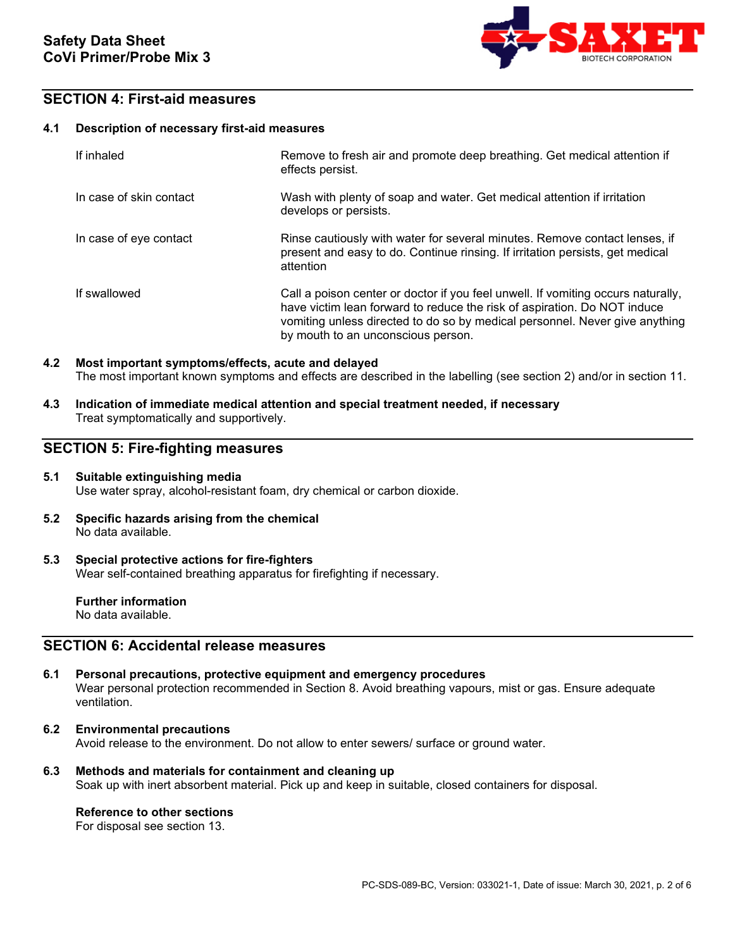

## **SECTION 4: First-aid measures**

### **4.1 Description of necessary first-aid measures**

| If inhaled              | Remove to fresh air and promote deep breathing. Get medical attention if<br>effects persist.                                                                                                                                                                                      |
|-------------------------|-----------------------------------------------------------------------------------------------------------------------------------------------------------------------------------------------------------------------------------------------------------------------------------|
| In case of skin contact | Wash with plenty of soap and water. Get medical attention if irritation<br>develops or persists.                                                                                                                                                                                  |
| In case of eye contact  | Rinse cautiously with water for several minutes. Remove contact lenses, if<br>present and easy to do. Continue rinsing. If irritation persists, get medical<br>attention                                                                                                          |
| If swallowed            | Call a poison center or doctor if you feel unwell. If vomiting occurs naturally,<br>have victim lean forward to reduce the risk of aspiration. Do NOT induce<br>vomiting unless directed to do so by medical personnel. Never give anything<br>by mouth to an unconscious person. |

## **4.2 Most important symptoms/effects, acute and delayed** The most important known symptoms and effects are described in the labelling (see section 2) and/or in section 11.

**4.3 Indication of immediate medical attention and special treatment needed, if necessary** Treat symptomatically and supportively.

## **SECTION 5: Fire-fighting measures**

### **5.1 Suitable extinguishing media** Use water spray, alcohol-resistant foam, dry chemical or carbon dioxide.

- **5.2 Specific hazards arising from the chemical** No data available.
- **5.3 Special protective actions for fire-fighters** Wear self-contained breathing apparatus for firefighting if necessary.

**Further information** No data available.

## **SECTION 6: Accidental release measures**

- **6.1 Personal precautions, protective equipment and emergency procedures** Wear personal protection recommended in Section 8. Avoid breathing vapours, mist or gas. Ensure adequate ventilation.
- **6.2 Environmental precautions** Avoid release to the environment. Do not allow to enter sewers/ surface or ground water.
- **6.3 Methods and materials for containment and cleaning up** Soak up with inert absorbent material. Pick up and keep in suitable, closed containers for disposal.

## **Reference to other sections**

For disposal see section 13.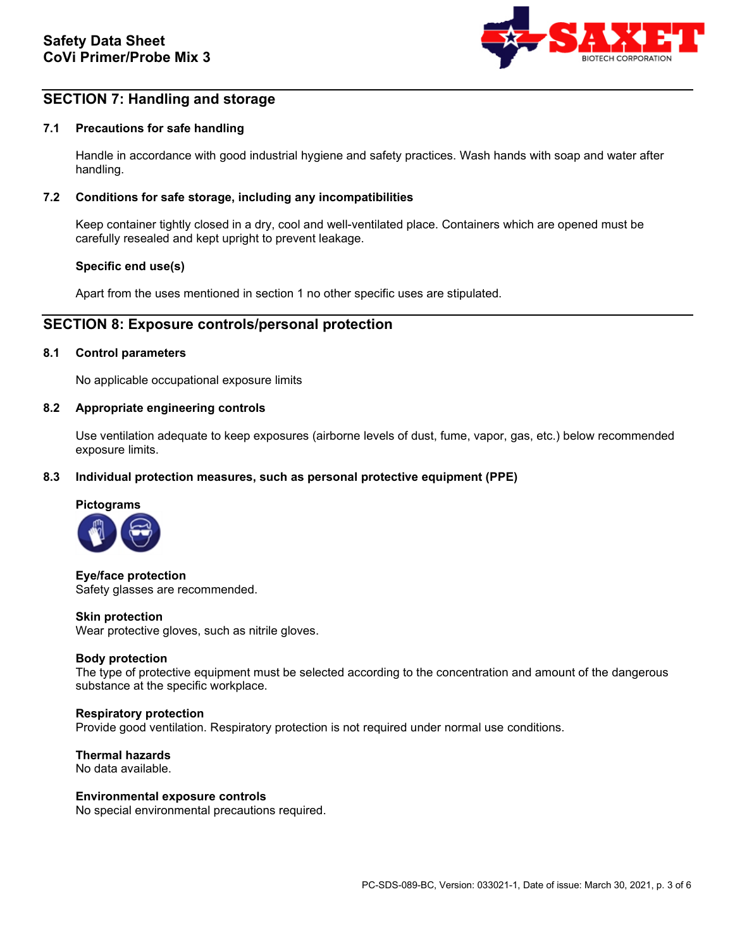

## **SECTION 7: Handling and storage**

### **7.1 Precautions for safe handling**

Handle in accordance with good industrial hygiene and safety practices. Wash hands with soap and water after handling.

### **7.2 Conditions for safe storage, including any incompatibilities**

Keep container tightly closed in a dry, cool and well-ventilated place. Containers which are opened must be carefully resealed and kept upright to prevent leakage.

### **Specific end use(s)**

Apart from the uses mentioned in section 1 no other specific uses are stipulated.

## **SECTION 8: Exposure controls/personal protection**

### **8.1 Control parameters**

No applicable occupational exposure limits

#### **8.2 Appropriate engineering controls**

Use ventilation adequate to keep exposures (airborne levels of dust, fume, vapor, gas, etc.) below recommended exposure limits.

### **8.3 Individual protection measures, such as personal protective equipment (PPE)**



**Eye/face protection** Safety glasses are recommended.

#### **Skin protection**

Wear protective gloves, such as nitrile gloves.

### **Body protection**

The type of protective equipment must be selected according to the concentration and amount of the dangerous substance at the specific workplace.

#### **Respiratory protection**

Provide good ventilation. Respiratory protection is not required under normal use conditions.

**Thermal hazards** No data available.

#### **Environmental exposure controls**

No special environmental precautions required.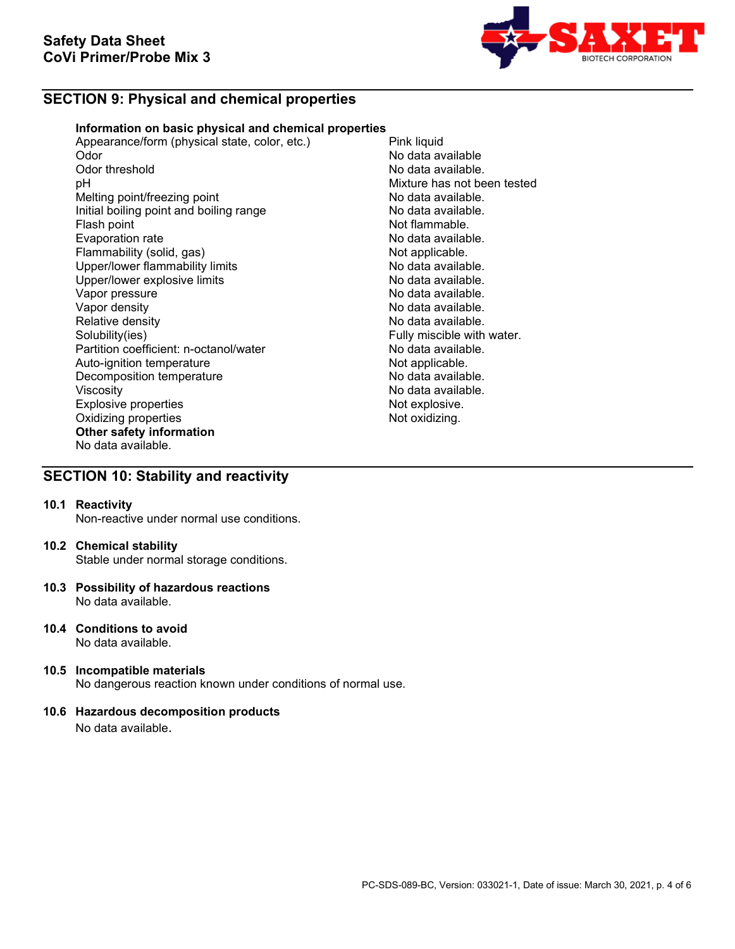

## **SECTION 9: Physical and chemical properties**

## **Information on basic physical and chemical properties**

Appearance/form (physical state, color, etc.) Pink liquid<br>Odor No data a Odor No data available Odor threshold **Odor threshold** Conservation of the Solid Australia available.<br>
Depends of the Mixture has not be Melting point/freezing point<br>
Initial boiling point and boiling range<br>
No data available. Initial boiling point and boiling range<br>Flash point Evaporation rate<br>
Flammability (solid, gas) Not applicable. Flammability (solid, gas) Not applicable.<br>
Upper/lower flammability limits No data available. Upper/lower flammability limits and the second of the No data available.<br>
Upper/lower explosive limits and the No data available. Upper/lower explosive limits<br>Vapor pressure Vapor pressure<br>Vapor density de la communitative de la communitative de la construction de la communitative de la communitati<br>No data available. Vapor density<br>
Relative density<br>
Relative density<br>
No data available. Relative density<br>
Solubility(ies)<br>
Solubility(ies)<br>
Solubility(ies) Partition coefficient: n-octanol/water **No data available.**<br>Auto-ignition temperature **Note and Auto-ignition** Auto-ignition temperature and the Not applicable.<br>
Decomposition temperature Not applicable. Decomposition temperature Viscosity<br>
Explosive properties<br>
Explosive explosive explosive explosive explosive explosive explosive explosive explosive explosive explosive explosive explosive explosive explosive explosive explosive explosive explosive Explosive properties and the explosive properties of the explosive.<br>
Oxidizing properties and the explosive of the explosive. Oxidizing properties **Other safety information** No data available.

Mixture has not been tested<br>No data available. Not flammable.<br>No data available. Fully miscible with water.

## **SECTION 10: Stability and reactivity**

### **10.1 Reactivity**

Non-reactive under normal use conditions.

### **10.2 Chemical stability**

Stable under normal storage conditions.

- **10.3 Possibility of hazardous reactions** No data available.
- **10.4 Conditions to avoid** No data available.
- **10.5 Incompatible materials** No dangerous reaction known under conditions of normal use.

## **10.6 Hazardous decomposition products**

No data available.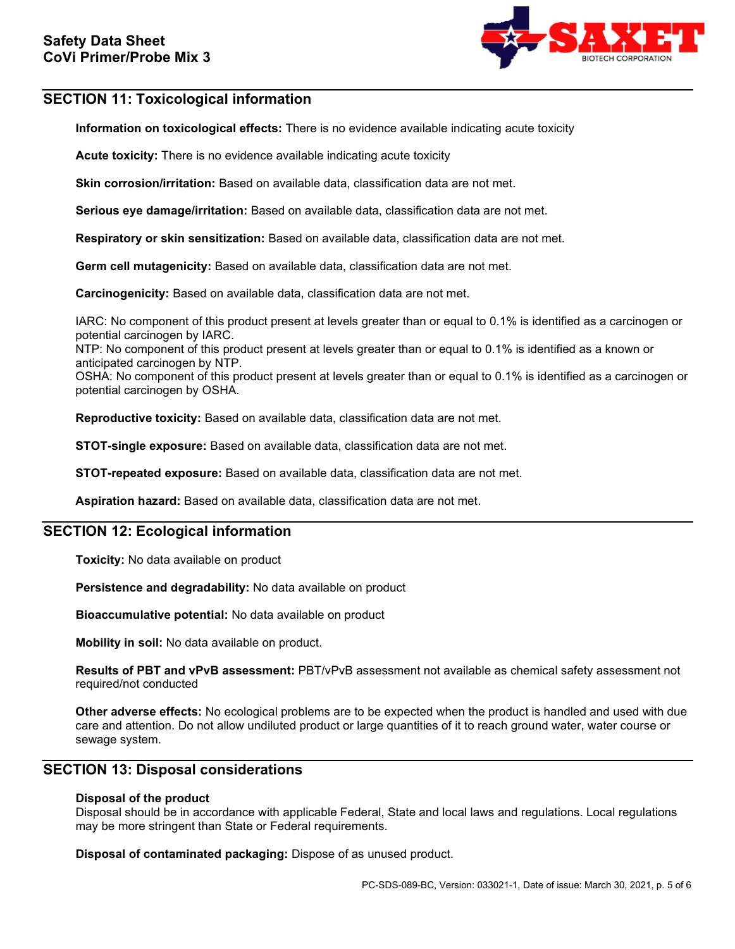

## **SECTION 11: Toxicological information**

**Information on toxicological effects:** There is no evidence available indicating acute toxicity

**Acute toxicity:** There is no evidence available indicating acute toxicity

**Skin corrosion/irritation:** Based on available data, classification data are not met.

**Serious eye damage/irritation:** Based on available data, classification data are not met.

**Respiratory or skin sensitization:** Based on available data, classification data are not met.

**Germ cell mutagenicity:** Based on available data, classification data are not met.

**Carcinogenicity:** Based on available data, classification data are not met.

IARC: No component of this product present at levels greater than or equal to 0.1% is identified as a carcinogen or potential carcinogen by IARC.

NTP: No component of this product present at levels greater than or equal to 0.1% is identified as a known or anticipated carcinogen by NTP.

OSHA: No component of this product present at levels greater than or equal to 0.1% is identified as a carcinogen or potential carcinogen by OSHA.

**Reproductive toxicity:** Based on available data, classification data are not met.

**STOT-single exposure:** Based on available data, classification data are not met.

**STOT-repeated exposure:** Based on available data, classification data are not met.

**Aspiration hazard:** Based on available data, classification data are not met.

## **SECTION 12: Ecological information**

**Toxicity:** No data available on product

**Persistence and degradability:** No data available on product

**Bioaccumulative potential:** No data available on product

**Mobility in soil:** No data available on product.

**Results of PBT and vPvB assessment:** PBT/vPvB assessment not available as chemical safety assessment not required/not conducted

**Other adverse effects:** No ecological problems are to be expected when the product is handled and used with due care and attention. Do not allow undiluted product or large quantities of it to reach ground water, water course or sewage system.

## **SECTION 13: Disposal considerations**

### **Disposal of the product**

Disposal should be in accordance with applicable Federal, State and local laws and regulations. Local regulations may be more stringent than State or Federal requirements.

**Disposal of contaminated packaging:** Dispose of as unused product.